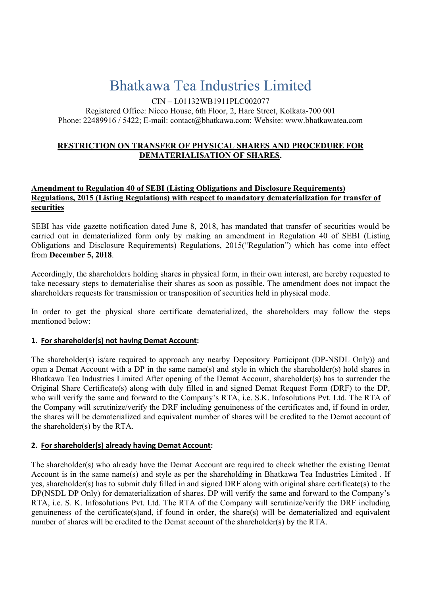# Bhatkawa Tea Industries Limited

CIN – L01132WB1911PLC002077

Registered Office: Nicco House, 6th Floor, 2, Hare Street, Kolkata-700 001 Phone: 22489916 / 5422; E-mail: contact@bhatkawa.com; Website: www.bhatkawatea.com

### RESTRICTION ON TRANSFER OF PHYSICAL SHARES AND PROCEDURE FOR DEMATERIALISATION OF SHARES.

#### Amendment to Regulation 40 of SEBI (Listing Obligations and Disclosure Requirements) Regulations, 2015 (Listing Regulations) with respect to mandatory dematerialization for transfer of securities

SEBI has vide gazette notification dated June 8, 2018, has mandated that transfer of securities would be carried out in dematerialized form only by making an amendment in Regulation 40 of SEBI (Listing Obligations and Disclosure Requirements) Regulations, 2015("Regulation") which has come into effect from December 5, 2018.

Accordingly, the shareholders holding shares in physical form, in their own interest, are hereby requested to take necessary steps to dematerialise their shares as soon as possible. The amendment does not impact the shareholders requests for transmission or transposition of securities held in physical mode.

In order to get the physical share certificate dematerialized, the shareholders may follow the steps mentioned below:

## 1. For shareholder(s) not having Demat Account:

The shareholder(s) is/are required to approach any nearby Depository Participant (DP-NSDL Only)) and open a Demat Account with a DP in the same name(s) and style in which the shareholder(s) hold shares in Bhatkawa Tea Industries Limited After opening of the Demat Account, shareholder(s) has to surrender the Original Share Certificate(s) along with duly filled in and signed Demat Request Form (DRF) to the DP, who will verify the same and forward to the Company's RTA, i.e. S.K. Infosolutions Pvt. Ltd. The RTA of the Company will scrutinize/verify the DRF including genuineness of the certificates and, if found in order, the shares will be dematerialized and equivalent number of shares will be credited to the Demat account of the shareholder(s) by the RTA.

## 2. For shareholder(s) already having Demat Account:

The shareholder(s) who already have the Demat Account are required to check whether the existing Demat Account is in the same name(s) and style as per the shareholding in Bhatkawa Tea Industries Limited . If yes, shareholder(s) has to submit duly filled in and signed DRF along with original share certificate(s) to the DP(NSDL DP Only) for dematerialization of shares. DP will verify the same and forward to the Company's RTA, i.e. S. K. Infosolutions Pvt. Ltd. The RTA of the Company will scrutinize/verify the DRF including genuineness of the certificate(s)and, if found in order, the share(s) will be dematerialized and equivalent number of shares will be credited to the Demat account of the shareholder(s) by the RTA.